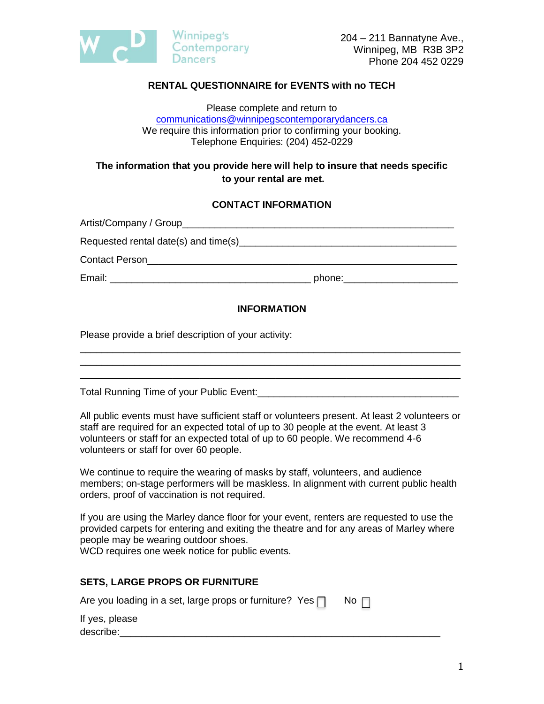

## **RENTAL QUESTIONNAIRE for EVENTS with no TECH**

Please complete and return to [communications@winnipegscontemporarydancers.ca](mailto:communications@winnipegscontemporarydancers.ca) We require this information prior to confirming your booking. Telephone Enquiries: (204) 452-0229

### **The information that you provide here will help to insure that needs specific to your rental are met.**

#### **CONTACT INFORMATION**

| <b>Contact Person</b><br><u> 1989 - John Stone, Amerikaansk politiker (</u> † 1920) |                      |
|-------------------------------------------------------------------------------------|----------------------|
| Email: _____________________                                                        | phone:______________ |

#### **INFORMATION**

\_\_\_\_\_\_\_\_\_\_\_\_\_\_\_\_\_\_\_\_\_\_\_\_\_\_\_\_\_\_\_\_\_\_\_\_\_\_\_\_\_\_\_\_\_\_\_\_\_\_\_\_\_\_\_\_\_\_\_\_\_\_\_\_\_\_\_\_\_\_

\_\_\_\_\_\_\_\_\_\_\_\_\_\_\_\_\_\_\_\_\_\_\_\_\_\_\_\_\_\_\_\_\_\_\_\_\_\_\_\_\_\_\_\_\_\_\_\_\_\_\_\_\_\_\_\_\_\_\_\_\_\_\_\_\_\_\_\_\_\_

Please provide a brief description of your activity:

Total Running Time of your Public Event:

All public events must have sufficient staff or volunteers present. At least 2 volunteers or staff are required for an expected total of up to 30 people at the event. At least 3 volunteers or staff for an expected total of up to 60 people. We recommend 4-6 volunteers or staff for over 60 people.

We continue to require the wearing of masks by staff, volunteers, and audience members; on-stage performers will be maskless. In alignment with current public health orders, proof of vaccination is not required.

If you are using the Marley dance floor for your event, renters are requested to use the provided carpets for entering and exiting the theatre and for any areas of Marley where people may be wearing outdoor shoes.

WCD requires one week notice for public events.

### **SETS, LARGE PROPS OR FURNITURE**

|  |  |  |  |  | Are you loading in a set, large props or furniture? Yes $\Box$ |  | No |
|--|--|--|--|--|----------------------------------------------------------------|--|----|
|--|--|--|--|--|----------------------------------------------------------------|--|----|

If yes, please describe:\_\_\_\_\_\_\_\_\_\_\_\_\_\_\_\_\_\_\_\_\_\_\_\_\_\_\_\_\_\_\_\_\_\_\_\_\_\_\_\_\_\_\_\_\_\_\_\_\_\_\_\_\_\_\_\_\_\_\_